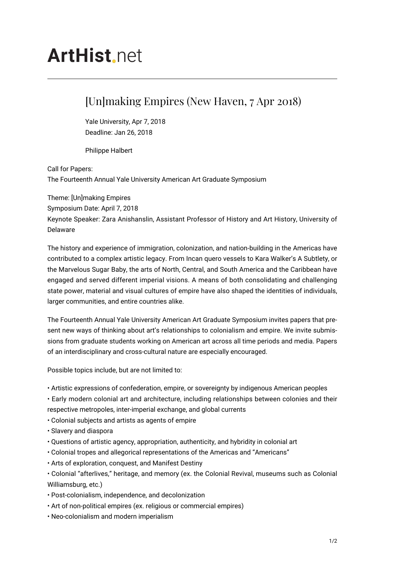## **ArtHist** net

## [Un]making Empires (New Haven, 7 Apr 2018)

Yale University, Apr 7, 2018 Deadline: Jan 26, 2018

Philippe Halbert

Call for Papers: The Fourteenth Annual Yale University American Art Graduate Symposium

Theme: [Un]making Empires Symposium Date: April 7, 2018 Keynote Speaker: Zara Anishanslin, Assistant Professor of History and Art History, University of Delaware

The history and experience of immigration, colonization, and nation-building in the Americas have contributed to a complex artistic legacy. From Incan quero vessels to Kara Walker's A Subtlety, or the Marvelous Sugar Baby, the arts of North, Central, and South America and the Caribbean have engaged and served different imperial visions. A means of both consolidating and challenging state power, material and visual cultures of empire have also shaped the identities of individuals, larger communities, and entire countries alike.

The Fourteenth Annual Yale University American Art Graduate Symposium invites papers that present new ways of thinking about art's relationships to colonialism and empire. We invite submissions from graduate students working on American art across all time periods and media. Papers of an interdisciplinary and cross-cultural nature are especially encouraged.

Possible topics include, but are not limited to:

- Artistic expressions of confederation, empire, or sovereignty by indigenous American peoples
- Early modern colonial art and architecture, including relationships between colonies and their
- respective metropoles, inter-imperial exchange, and global currents
- Colonial subjects and artists as agents of empire
- Slavery and diaspora
- Questions of artistic agency, appropriation, authenticity, and hybridity in colonial art
- Colonial tropes and allegorical representations of the Americas and "Americans"
- Arts of exploration, conquest, and Manifest Destiny
- Colonial "afterlives," heritage, and memory (ex. the Colonial Revival, museums such as Colonial Williamsburg, etc.)
- Post-colonialism, independence, and decolonization
- Art of non-political empires (ex. religious or commercial empires)
- Neo-colonialism and modern imperialism